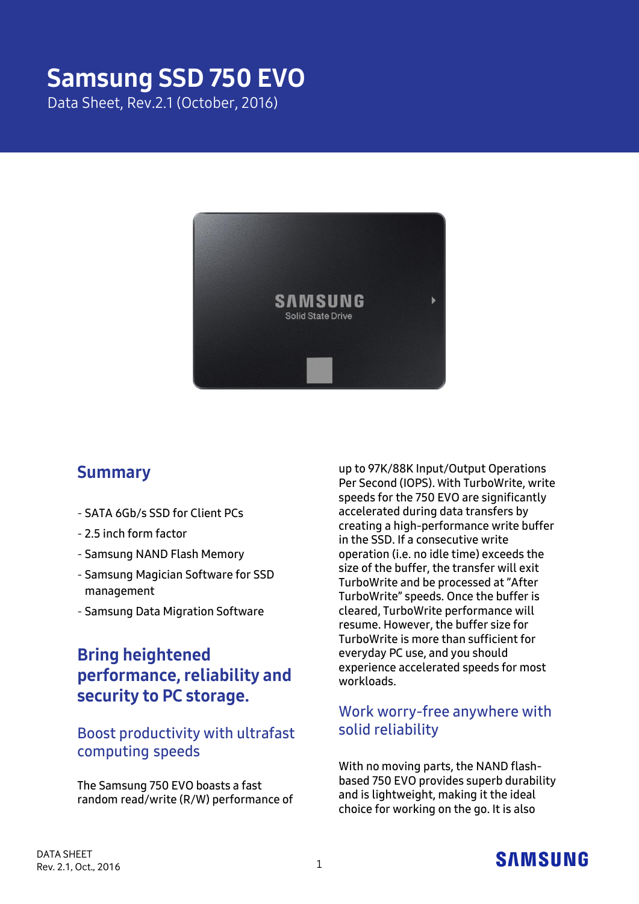# Samsung SSD 750 EVO

Data Sheet, Rev.2.1 (October, 2016)



### Summary

- **SATA 6Gb/s SSD for Client PCs**
- **2.5 inch form factor**
- **Samsung NAND Flash Memory**
- **Samsung Magician Software for SSD management**
- **Samsung Data Migration Software**

### Bring heightened performance, reliability and security to PC storage.

### **Boost productivity with ultrafast computing speeds**

**The Samsung 750 EVO boasts a fast random read/write (R/W) performance of** 

**up to 97K/88K Input/Output Operations Per Second (IOPS).** W**ith TurboWrite, write speeds for the 750 EVO are significantly accelerated during data transfers by creating a high-performance write buffer in the SSD. If a consecutive write operation (i.e. no idle time) exceeds the size of the buffer, the transfer will exit TurboWrite and be processed at "After TurboWrite" speeds. Once the buffer is cleared, TurboWrite performance will resume. However, the buffer size for TurboWrite is more than sufficient for everyday PC use, and you should experience accelerated speeds for most workloads.**

### **Work worry-free anywhere with solid reliability**

**With no moving parts, the NAND flashbased 750 EVO provides superb durability and is lightweight, making it the ideal choice for working on the go. It is also** 

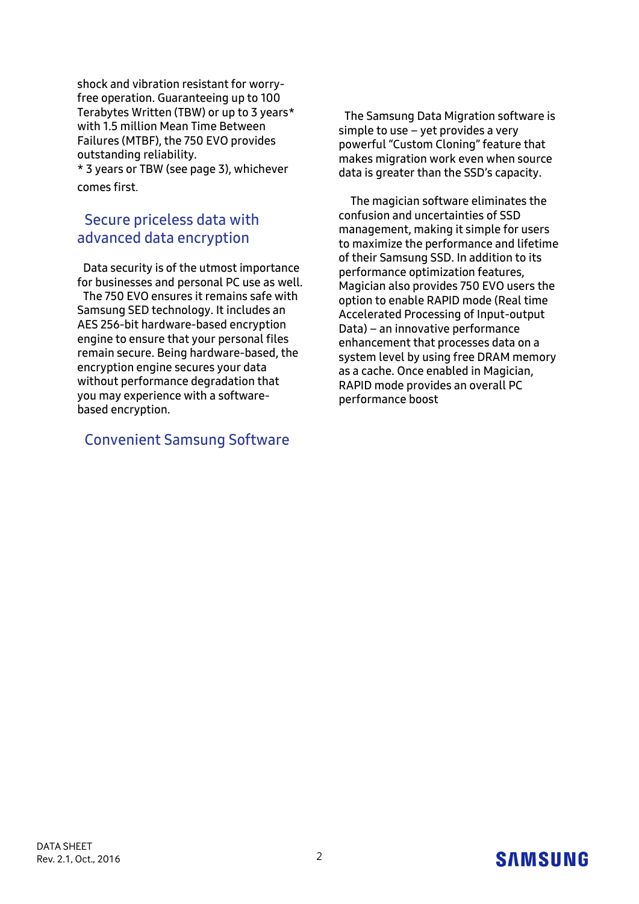**shock and vibration resistant for worryfree operation. Guaranteeing up to 100 Terabytes Written (TBW) or up to 3 years\* with 1.5 million Mean Time Between Failures (MTBF), the 750 EVO provides outstanding reliability.**

**\* 3 years or TBW (see page 3), whichever comes first**.

### **Secure priceless data with advanced data encryption**

**Data security is of the utmost importance for businesses and personal PC use as well. The 750 EVO ensures it remains safe with Samsung SED technology. It includes an AES 256-bit hardware-based encryption engine to ensure that your personal files remain secure. Being hardware-based, the encryption engine secures your data without performance degradation that you may experience with a softwarebased encryption.**

### **Convenient Samsung Software**

**The Samsung Data Migration software is simple to use – yet provides a very powerful "Custom Cloning" feature that makes migration work even when source data is greater than the SSD's capacity.**

**The magician software eliminates the confusion and uncertainties of SSD management, making it simple for users to maximize the performance and lifetime of their Samsung SSD. In addition to its performance optimization features, Magician also provides 750 EVO users the option to enable RAPID mode (Real time Accelerated Processing of Input-output Data) – an innovative performance enhancement that processes data on a system level by using free DRAM memory as a cache. Once enabled in Magician, RAPID mode provides an overall PC performance boost**

## **SAMSUNG**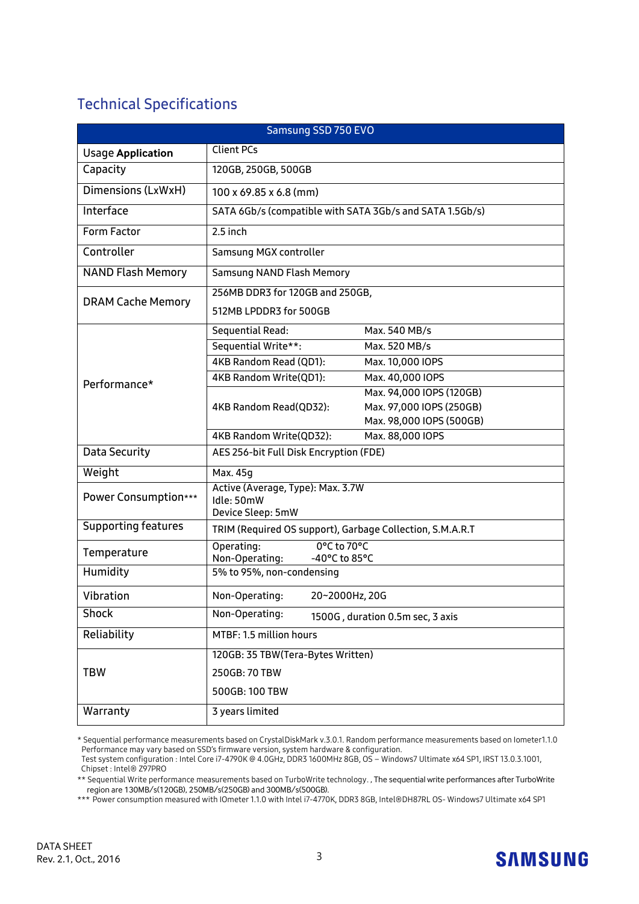### **Technical Specifications**

| Samsung SSD 750 EVO        |                                                                      |  |  |  |
|----------------------------|----------------------------------------------------------------------|--|--|--|
| <b>Usage Application</b>   | <b>Client PCs</b>                                                    |  |  |  |
| Capacity                   | 120GB, 250GB, 500GB                                                  |  |  |  |
| Dimensions (LxWxH)         | 100 x 69.85 x 6.8 (mm)                                               |  |  |  |
| Interface                  | SATA 6Gb/s (compatible with SATA 3Gb/s and SATA 1.5Gb/s)             |  |  |  |
| Form Factor                | 2.5 inch                                                             |  |  |  |
| Controller                 | Samsung MGX controller                                               |  |  |  |
| <b>NAND Flash Memory</b>   | Samsung NAND Flash Memory                                            |  |  |  |
| <b>DRAM Cache Memory</b>   | 256MB DDR3 for 120GB and 250GB,                                      |  |  |  |
|                            | 512MB LPDDR3 for 500GB                                               |  |  |  |
| Performance*               | Max. 540 MB/s<br>Sequential Read:                                    |  |  |  |
|                            | Sequential Write**:<br>Max. 520 MB/s                                 |  |  |  |
|                            | 4KB Random Read (QD1):<br>Max. 10,000 IOPS                           |  |  |  |
|                            | 4KB Random Write(QD1):<br>Max. 40,000 IOPS                           |  |  |  |
|                            | Max. 94,000 IOPS (120GB)                                             |  |  |  |
|                            | Max. 97,000 IOPS (250GB)<br>4KB Random Read(QD32):                   |  |  |  |
|                            | Max. 98,000 IOPS (500GB)                                             |  |  |  |
|                            | Max. 88,000 IOPS<br>4KB Random Write(QD32):                          |  |  |  |
| Data Security              | AES 256-bit Full Disk Encryption (FDE)                               |  |  |  |
| Weight                     | Max. 45g                                                             |  |  |  |
| Power Consumption***       | Active (Average, Type): Max. 3.7W<br>Idle: 50mW<br>Device Sleep: 5mW |  |  |  |
| <b>Supporting features</b> | TRIM (Required OS support), Garbage Collection, S.M.A.R.T            |  |  |  |
| Temperature                | 0°C to 70°C<br>Operating:<br>Non-Operating:<br>-40°C to 85°C         |  |  |  |
| Humidity                   | 5% to 95%, non-condensing                                            |  |  |  |
| Vibration                  | Non-Operating:<br>20~2000Hz, 20G                                     |  |  |  |
| <b>Shock</b>               | Non-Operating:<br>1500G, duration 0.5m sec, 3 axis                   |  |  |  |
| Reliability                | MTBF: 1.5 million hours                                              |  |  |  |
| <b>TBW</b>                 | 120GB: 35 TBW(Tera-Bytes Written)                                    |  |  |  |
|                            | 250GB: 70 TBW                                                        |  |  |  |
|                            | 500GB: 100 TBW                                                       |  |  |  |
| Warranty                   | 3 years limited                                                      |  |  |  |

<sup>\*</sup> Sequential performance measurements based on CrystalDiskMark v.3.0.1. Random performance measurements based on Iometer1.1.0 Performance may vary based on SSD's firmware version, system hardware & configuration.

\*\* Sequential Write performance measurements based on TurboWrite technology. , The sequential write performances after TurboWrite region are 130MB/s(120GB), 250MB/s(250GB) and 300MB/s(500GB).

\*\*\* Power consumption measured with IOmeter 1.1.0 with Intel i7-4770K, DDR3 8GB, Intel® DH87RL OS- Windows7 Ultimate x64 SP1



Test system configuration : Intel Core i7-4790K @ 4.0GHz, DDR3 1600MHz 8GB, OS – Windows7 Ultimate x64 SP1, IRST 13.0.3.1001, Chipset : Intel® Z97PRO